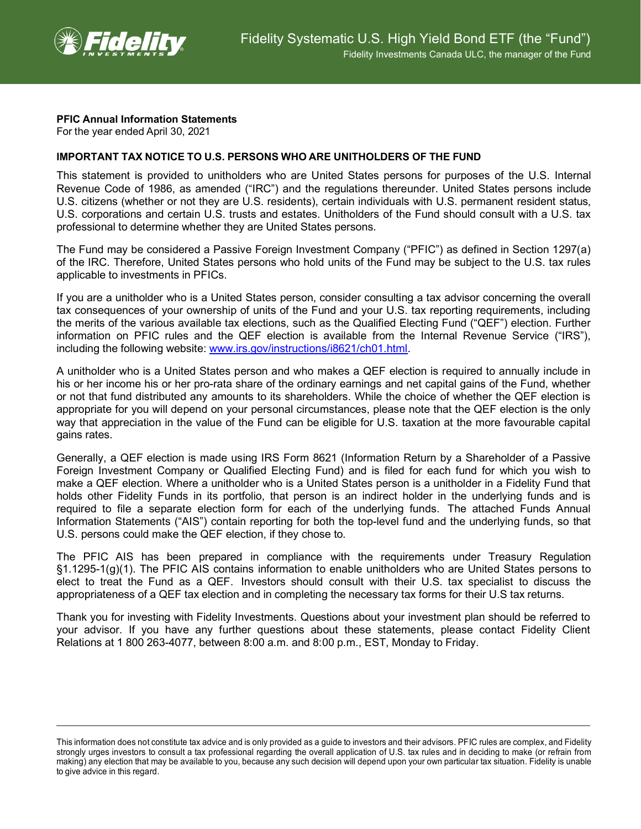

## **PFIC Annual Information Statements**

For the year ended April 30, 2021

## **IMPORTANT TAX NOTICE TO U.S. PERSONS WHO ARE UNITHOLDERS OF THE FUND**

This statement is provided to unitholders who are United States persons for purposes of the U.S. Internal Revenue Code of 1986, as amended ("IRC") and the regulations thereunder. United States persons include U.S. citizens (whether or not they are U.S. residents), certain individuals with U.S. permanent resident status, U.S. corporations and certain U.S. trusts and estates. Unitholders of the Fund should consult with a U.S. tax professional to determine whether they are United States persons.

The Fund may be considered a Passive Foreign Investment Company ("PFIC") as defined in Section 1297(a) of the IRC. Therefore, United States persons who hold units of the Fund may be subject to the U.S. tax rules applicable to investments in PFICs.

If you are a unitholder who is a United States person, consider consulting a tax advisor concerning the overall tax consequences of your ownership of units of the Fund and your U.S. tax reporting requirements, including the merits of the various available tax elections, such as the Qualified Electing Fund ("QEF") election. Further information on PFIC rules and the QEF election is available from the Internal Revenue Service ("IRS"), including the following website: [www.irs.gov/instructions/i8621/ch01.html.](http://www.irs.gov/instructions/i8621/ch01.html)

A unitholder who is a United States person and who makes a QEF election is required to annually include in his or her income his or her pro-rata share of the ordinary earnings and net capital gains of the Fund, whether or not that fund distributed any amounts to its shareholders. While the choice of whether the QEF election is appropriate for you will depend on your personal circumstances, please note that the QEF election is the only way that appreciation in the value of the Fund can be eligible for U.S. taxation at the more favourable capital gains rates.

Generally, a QEF election is made using IRS Form 8621 (Information Return by a Shareholder of a Passive Foreign Investment Company or Qualified Electing Fund) and is filed for each fund for which you wish to make a QEF election. Where a unitholder who is a United States person is a unitholder in a Fidelity Fund that holds other Fidelity Funds in its portfolio, that person is an indirect holder in the underlying funds and is required to file a separate election form for each of the underlying funds. The attached Funds Annual Information Statements ("AIS") contain reporting for both the top-level fund and the underlying funds, so that U.S. persons could make the QEF election, if they chose to.

The PFIC AIS has been prepared in compliance with the requirements under Treasury Regulation §1.1295-1(g)(1). The PFIC AIS contains information to enable unitholders who are United States persons to elect to treat the Fund as a QEF. Investors should consult with their U.S. tax specialist to discuss the appropriateness of a QEF tax election and in completing the necessary tax forms for their U.S tax returns.

Thank you for investing with Fidelity Investments. Questions about your investment plan should be referred to your advisor. If you have any further questions about these statements, please contact Fidelity Client Relations at 1 800 263-4077, between 8:00 a.m. and 8:00 p.m., EST, Monday to Friday.

This information does not constitute tax advice and is only provided as a guide to investors and their advisors. PFIC rules are complex, and Fidelity strongly urges investors to consult a tax professional regarding the overall application of U.S. tax rules and in deciding to make (or refrain from making) any election that may be available to you, because any such decision will depend upon your own particular tax situation. Fidelity is unable to give advice in this regard.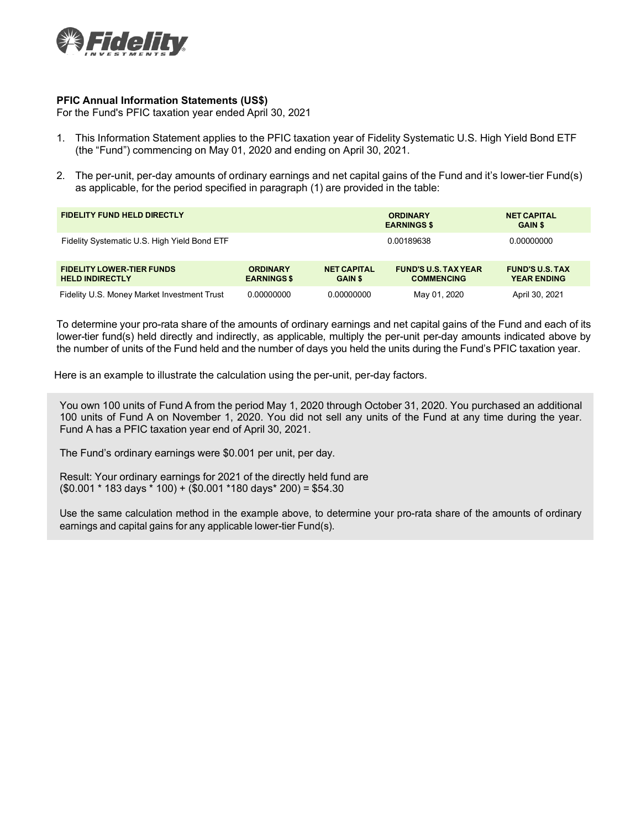

## **PFIC Annual Information Statements (US\$)**

For the Fund's PFIC taxation year ended April 30, 2021

- 1. This Information Statement applies to the PFIC taxation year of Fidelity Systematic U.S. High Yield Bond ETF (the "Fund") commencing on May 01, 2020 and ending on April 30, 2021.
- 2. The per-unit, per-day amounts of ordinary earnings and net capital gains of the Fund and it's lower-tier Fund(s) as applicable, for the period specified in paragraph (1) are provided in the table:

| <b>FIDELITY FUND HELD DIRECTLY</b>                         |                                       |                                      | <b>ORDINARY</b><br><b>EARNINGS \$</b>            | <b>NET CAPITAL</b><br><b>GAIN \$</b>         |  |
|------------------------------------------------------------|---------------------------------------|--------------------------------------|--------------------------------------------------|----------------------------------------------|--|
| Fidelity Systematic U.S. High Yield Bond ETF               |                                       |                                      | 0.00189638                                       | 0.00000000                                   |  |
| <b>FIDELITY LOWER-TIER FUNDS</b><br><b>HELD INDIRECTLY</b> | <b>ORDINARY</b><br><b>EARNINGS \$</b> | <b>NET CAPITAL</b><br><b>GAIN \$</b> | <b>FUND'S U.S. TAX YEAR</b><br><b>COMMENCING</b> | <b>FUND'S U.S. TAX</b><br><b>YEAR ENDING</b> |  |
| Fidelity U.S. Money Market Investment Trust                | 0.00000000                            | 0.00000000                           | May 01, 2020                                     | April 30, 2021                               |  |

To determine your pro-rata share of the amounts of ordinary earnings and net capital gains of the Fund and each of its lower-tier fund(s) held directly and indirectly, as applicable, multiply the per-unit per-day amounts indicated above by the number of units of the Fund held and the number of days you held the units during the Fund's PFIC taxation year.

Here is an example to illustrate the calculation using the per-unit, per-day factors.

You own 100 units of Fund A from the period May 1, 2020 through October 31, 2020. You purchased an additional 100 units of Fund A on November 1, 2020. You did not sell any units of the Fund at any time during the year. Fund A has a PFIC taxation year end of April 30, 2021.

The Fund's ordinary earnings were \$0.001 per unit, per day.

Result: Your ordinary earnings for 2021 of the directly held fund are (\$0.001 \* 183 days \* 100) + (\$0.001 \*180 days\* 200) = \$54.30

Use the same calculation method in the example above, to determine your pro-rata share of the amounts of ordinary earnings and capital gains for any applicable lower-tier Fund(s).